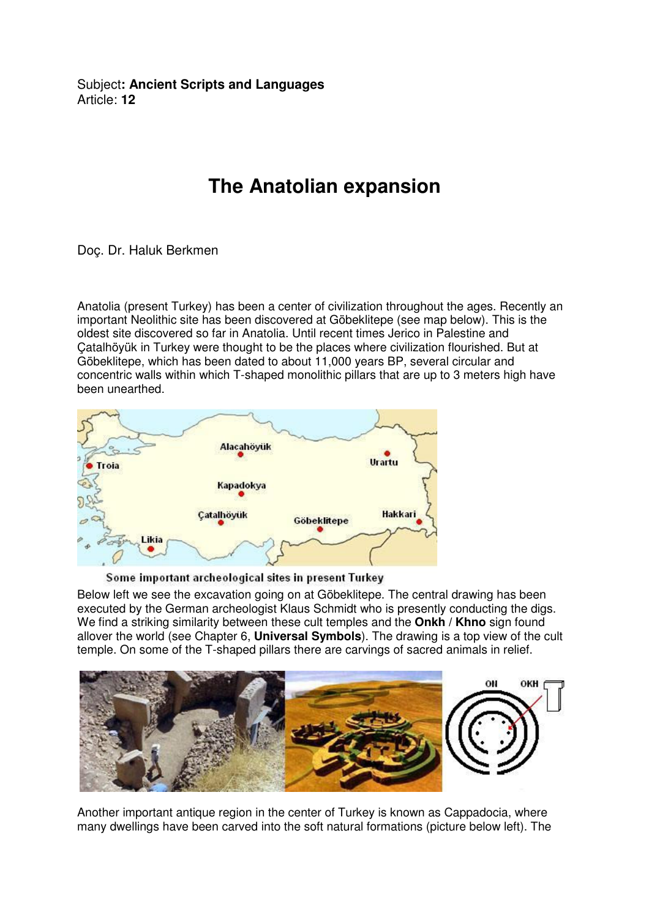Subject**: Ancient Scripts and Languages**  Article: **12**

## **The Anatolian expansion**

Doç. Dr. Haluk Berkmen

Anatolia (present Turkey) has been a center of civilization throughout the ages. Recently an important Neolithic site has been discovered at Göbeklitepe (see map below). This is the oldest site discovered so far in Anatolia. Until recent times Jerico in Palestine and Çatalhöyük in Turkey were thought to be the places where civilization flourished. But at Göbeklitepe, which has been dated to about 11,000 years BP, several circular and concentric walls within which T-shaped monolithic pillars that are up to 3 meters high have been unearthed.



Some important archeological sites in present Turkey

Below left we see the excavation going on at Göbeklitepe. The central drawing has been executed by the German archeologist Klaus Schmidt who is presently conducting the digs. We find a striking similarity between these cult temples and the **Onkh / Khno** sign found allover the world (see Chapter 6, **Universal Symbols**). The drawing is a top view of the cult temple. On some of the T-shaped pillars there are carvings of sacred animals in relief.



Another important antique region in the center of Turkey is known as Cappadocia, where many dwellings have been carved into the soft natural formations (picture below left). The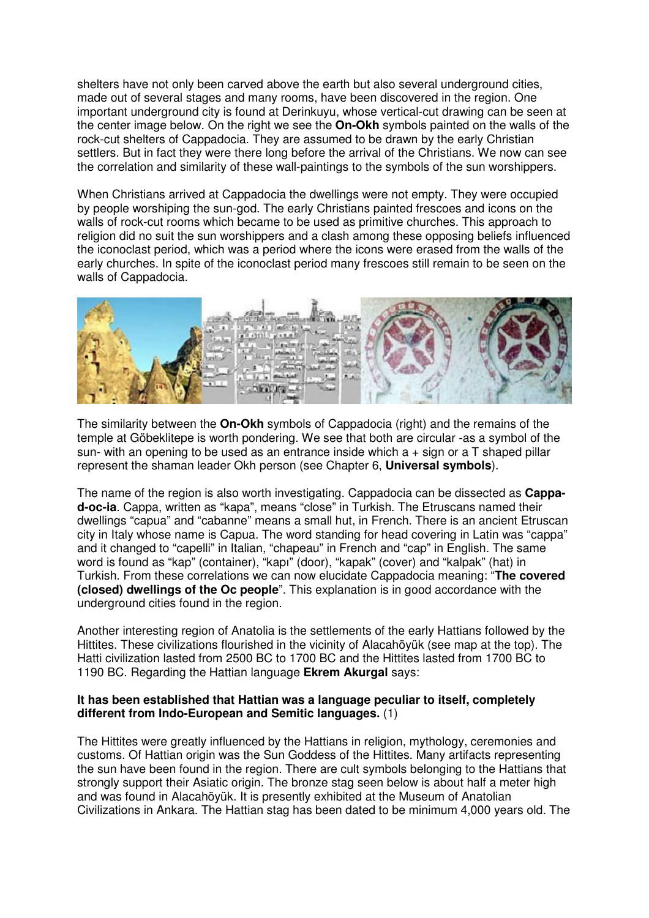shelters have not only been carved above the earth but also several underground cities, made out of several stages and many rooms, have been discovered in the region. One important underground city is found at Derinkuyu, whose vertical-cut drawing can be seen at the center image below. On the right we see the **On-Okh** symbols painted on the walls of the rock-cut shelters of Cappadocia. They are assumed to be drawn by the early Christian settlers. But in fact they were there long before the arrival of the Christians. We now can see the correlation and similarity of these wall-paintings to the symbols of the sun worshippers.

When Christians arrived at Cappadocia the dwellings were not empty. They were occupied by people worshiping the sun-god. The early Christians painted frescoes and icons on the walls of rock-cut rooms which became to be used as primitive churches. This approach to religion did no suit the sun worshippers and a clash among these opposing beliefs influenced the iconoclast period, which was a period where the icons were erased from the walls of the early churches. In spite of the iconoclast period many frescoes still remain to be seen on the walls of Cappadocia.



The similarity between the **On-Okh** symbols of Cappadocia (right) and the remains of the temple at Göbeklitepe is worth pondering. We see that both are circular -as a symbol of the sun- with an opening to be used as an entrance inside which  $a + \sin a$  or a T shaped pillar represent the shaman leader Okh person (see Chapter 6, **Universal symbols**).

The name of the region is also worth investigating. Cappadocia can be dissected as **Cappad-oc-ia**. Cappa, written as "kapa", means "close" in Turkish. The Etruscans named their dwellings "capua" and "cabanne" means a small hut, in French. There is an ancient Etruscan city in Italy whose name is Capua. The word standing for head covering in Latin was "cappa" and it changed to "capelli" in Italian, "chapeau" in French and "cap" in English. The same word is found as "kap" (container), "kapı" (door), "kapak" (cover) and "kalpak" (hat) in Turkish. From these correlations we can now elucidate Cappadocia meaning: "**The covered (closed) dwellings of the Oc people**". This explanation is in good accordance with the underground cities found in the region.

Another interesting region of Anatolia is the settlements of the early Hattians followed by the Hittites. These civilizations flourished in the vicinity of Alacahöyük (see map at the top). The Hatti civilization lasted from 2500 BC to 1700 BC and the Hittites lasted from 1700 BC to 1190 BC. Regarding the Hattian language **Ekrem Akurgal** says:

## **It has been established that Hattian was a language peculiar to itself, completely different from Indo-European and Semitic languages.** (1)

The Hittites were greatly influenced by the Hattians in religion, mythology, ceremonies and customs. Of Hattian origin was the Sun Goddess of the Hittites. Many artifacts representing the sun have been found in the region. There are cult symbols belonging to the Hattians that strongly support their Asiatic origin. The bronze stag seen below is about half a meter high and was found in Alacahöyük. It is presently exhibited at the Museum of Anatolian Civilizations in Ankara. The Hattian stag has been dated to be minimum 4,000 years old. The